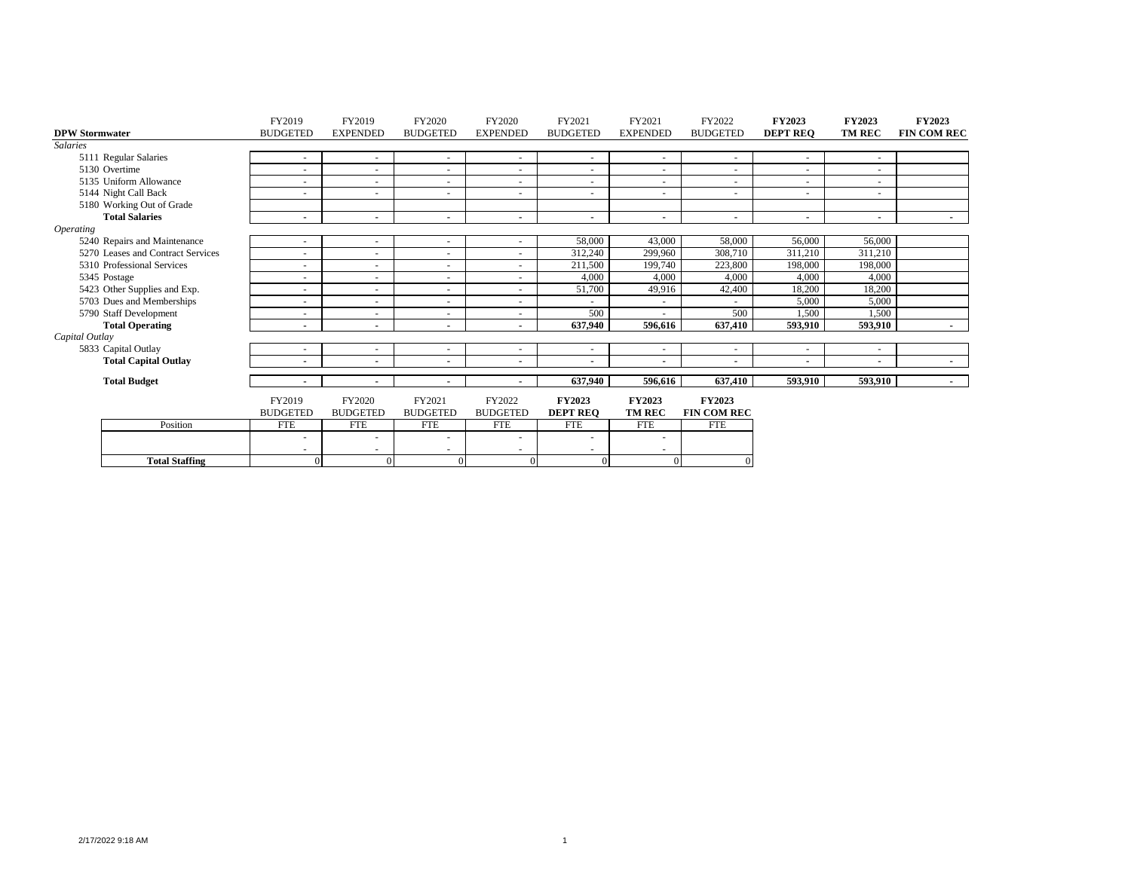|                         |                                   | FY2019                   | FY2019          | FY2020                   | FY2020             | FY2021                   | FY2021          | FY2022                   | <b>FY2023</b>   | <b>FY2023</b>            | <b>FY2023</b>      |
|-------------------------|-----------------------------------|--------------------------|-----------------|--------------------------|--------------------|--------------------------|-----------------|--------------------------|-----------------|--------------------------|--------------------|
| <b>DPW Stormwater</b>   |                                   | <b>BUDGETED</b>          | <b>EXPENDED</b> | <b>BUDGETED</b>          | <b>EXPENDED</b>    | <b>BUDGETED</b>          | <b>EXPENDED</b> | <b>BUDGETED</b>          | <b>DEPT REQ</b> | <b>TM REC</b>            | <b>FIN COM REC</b> |
| <b>Salaries</b>         |                                   |                          |                 |                          |                    |                          |                 |                          |                 |                          |                    |
|                         | 5111 Regular Salaries             | $\sim$                   | $\sim$          | $\sim$                   | $\sim$             | $\sim$                   | ٠               |                          |                 | $\overline{\phantom{a}}$ |                    |
|                         | 5130 Overtime                     |                          | $\sim$          | ۰.                       | $\sim$             | $\sim$                   | $\sim$          | $\overline{\phantom{a}}$ |                 | $\overline{\phantom{a}}$ |                    |
|                         | 5135 Uniform Allowance            |                          | ٠               | ٠                        | $\sim$             | $\sim$                   | $\sim$          | $\overline{\phantom{a}}$ |                 | $\overline{\phantom{a}}$ |                    |
|                         | 5144 Night Call Back              |                          | ٠               | $\overline{\phantom{a}}$ | $\sim$             | $\sim$                   | ۰               |                          |                 | $\overline{\phantom{a}}$ |                    |
|                         | 5180 Working Out of Grade         |                          |                 |                          |                    |                          |                 |                          |                 |                          |                    |
|                         | <b>Total Salaries</b>             |                          | ٠               | ٠                        | $\blacksquare$     | $\sim$                   | ۰               | $\blacksquare$           |                 | $\blacksquare$           | $\sim$             |
| <i><b>Operating</b></i> |                                   |                          |                 |                          |                    |                          |                 |                          |                 |                          |                    |
|                         | 5240 Repairs and Maintenance      |                          | ٠               | ٠                        | $\sim$             | 58,000                   | 43,000          | 58,000                   | 56,000          | 56,000                   |                    |
|                         | 5270 Leases and Contract Services |                          |                 | ٠                        | $\sim$             | 312,240                  | 299,960         | 308,710                  | 311,210         | 311,210                  |                    |
|                         | 5310 Professional Services        | $\sim$                   | ٠               | $\overline{\phantom{a}}$ | $\sim$             | 211,500                  | 199,740         | 223,800                  | 198,000         | 198,000                  |                    |
|                         | 5345 Postage                      |                          | ٠               | $\overline{\phantom{a}}$ | ٠                  | 4,000                    | 4,000           | 4,000                    | 4,000           | 4,000                    |                    |
|                         | 5423 Other Supplies and Exp.      |                          | ٠               | $\overline{\phantom{a}}$ | $\sim$             | 51,700                   | 49,916          | 42,400                   | 18,200          | 18,200                   |                    |
|                         | 5703 Dues and Memberships         |                          | ٠               | $\overline{\phantom{a}}$ | $\sim$             |                          | $\sim$          |                          | 5,000           | 5,000                    |                    |
|                         | 5790 Staff Development            | $\sim$                   | ٠               | $\sim$                   | $\sim$             | 500                      | ٠               | 500                      | 1,500           | 1,500                    |                    |
|                         | <b>Total Operating</b>            |                          |                 | ٠                        | $\blacksquare$     | 637.940                  | 596.616         | 637,410                  | 593.910         | 593,910                  | $\sim$             |
| Capital Outlay          |                                   |                          |                 |                          |                    |                          |                 |                          |                 |                          |                    |
|                         | 5833 Capital Outlay               |                          | ٠               | ٠                        | $\sim$             | $\sim$                   | $\sim$          | $\overline{\phantom{a}}$ |                 | $\overline{\phantom{a}}$ |                    |
|                         | <b>Total Capital Outlay</b>       |                          | ٠               | ٠                        | $\blacksquare$     | ۰.                       | ۰               | $\blacksquare$           |                 |                          | $\sim$             |
|                         | <b>Total Budget</b>               | $\overline{\phantom{a}}$ | ۰.              |                          |                    | 637,940                  | 596,616         | 637,410                  | 593,910         | 593,910                  | $\sim$             |
|                         |                                   | FY2019                   | FY2020          | FY2021                   | FY2022             | <b>FY2023</b>            | <b>FY2023</b>   | <b>FY2023</b>            |                 |                          |                    |
|                         |                                   | <b>BUDGETED</b>          | <b>BUDGETED</b> | <b>BUDGETED</b>          | <b>BUDGETED</b>    | <b>DEPT REQ</b>          | <b>TM REC</b>   | <b>FIN COM REC</b>       |                 |                          |                    |
|                         | Position                          | <b>FTE</b>               | <b>FTE</b>      | <b>FTE</b>               | <b>FTE</b>         | <b>FTE</b>               | <b>FTE</b>      | <b>FTE</b>               |                 |                          |                    |
|                         |                                   |                          | ۰               | ٠                        | $\sim$             | $\overline{\phantom{a}}$ | ٠               |                          |                 |                          |                    |
|                         | <b>Total Staffing</b>             | $\Omega$                 | ٠<br>$\Omega$   | ٠<br>$\Omega$            | $\sim$<br>$\Omega$ | $\Omega$                 | ۰<br>$\Omega$   |                          |                 |                          |                    |
|                         |                                   |                          |                 |                          |                    |                          |                 |                          |                 |                          |                    |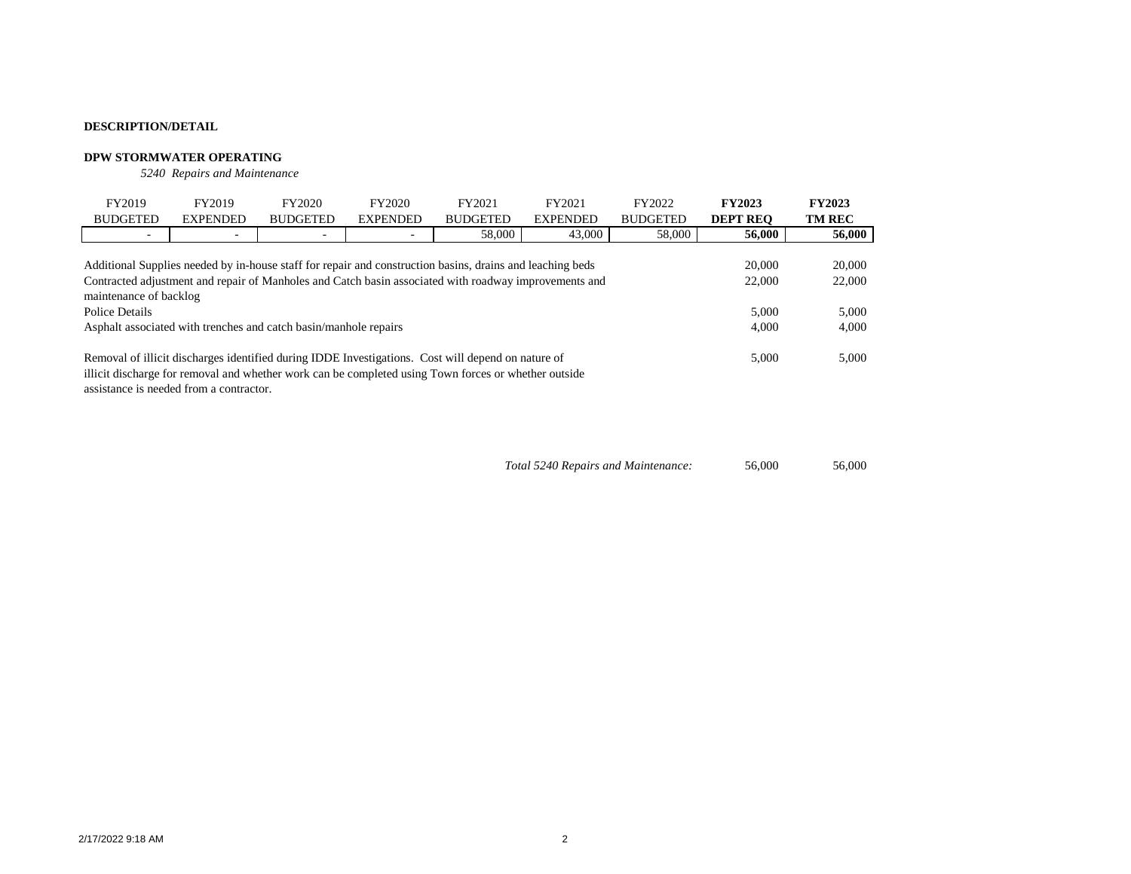#### **DPW STORMWATER OPERATING**

*5240 Repairs and Maintenance*

| FY2019                                                                                                                                                                                                                                                 | FY2019                                                           | FY2020          | FY2020          | FY2021                                                                                                                                                                                                     | FY2021          | FY2022          | <b>FY2023</b>   | <b>FY2023</b> |  |  |  |
|--------------------------------------------------------------------------------------------------------------------------------------------------------------------------------------------------------------------------------------------------------|------------------------------------------------------------------|-----------------|-----------------|------------------------------------------------------------------------------------------------------------------------------------------------------------------------------------------------------------|-----------------|-----------------|-----------------|---------------|--|--|--|
| <b>BUDGETED</b>                                                                                                                                                                                                                                        | <b>EXPENDED</b>                                                  | <b>BUDGETED</b> | <b>EXPENDED</b> | <b>BUDGETED</b>                                                                                                                                                                                            | <b>EXPENDED</b> | <b>BUDGETED</b> | <b>DEPT REO</b> | <b>TM REC</b> |  |  |  |
| $\overline{\phantom{a}}$                                                                                                                                                                                                                               |                                                                  |                 |                 | 58,000                                                                                                                                                                                                     | 43,000          | 58,000          | 56,000          | 56,000        |  |  |  |
|                                                                                                                                                                                                                                                        |                                                                  |                 |                 |                                                                                                                                                                                                            |                 |                 | 20,000          | 20,000        |  |  |  |
| Additional Supplies needed by in-house staff for repair and construction basins, drains and leaching beds<br>Contracted adjustment and repair of Manholes and Catch basin associated with roadway improvements and<br>22,000<br>maintenance of backlog |                                                                  |                 |                 |                                                                                                                                                                                                            |                 |                 |                 |               |  |  |  |
| Police Details                                                                                                                                                                                                                                         |                                                                  |                 |                 |                                                                                                                                                                                                            |                 |                 | 5.000           | 5,000         |  |  |  |
|                                                                                                                                                                                                                                                        | Asphalt associated with trenches and catch basin/manhole repairs |                 |                 |                                                                                                                                                                                                            |                 |                 | 4,000           | 4,000         |  |  |  |
|                                                                                                                                                                                                                                                        |                                                                  |                 |                 | Removal of illicit discharges identified during IDDE Investigations. Cost will depend on nature of<br>illicit discharge for removal and whether work can be completed using Town forces or whether outside |                 |                 | 5,000           | 5,000         |  |  |  |

assistance is needed from a contractor.

*Total 5240 Repairs and Maintenance:* 56,000 56,000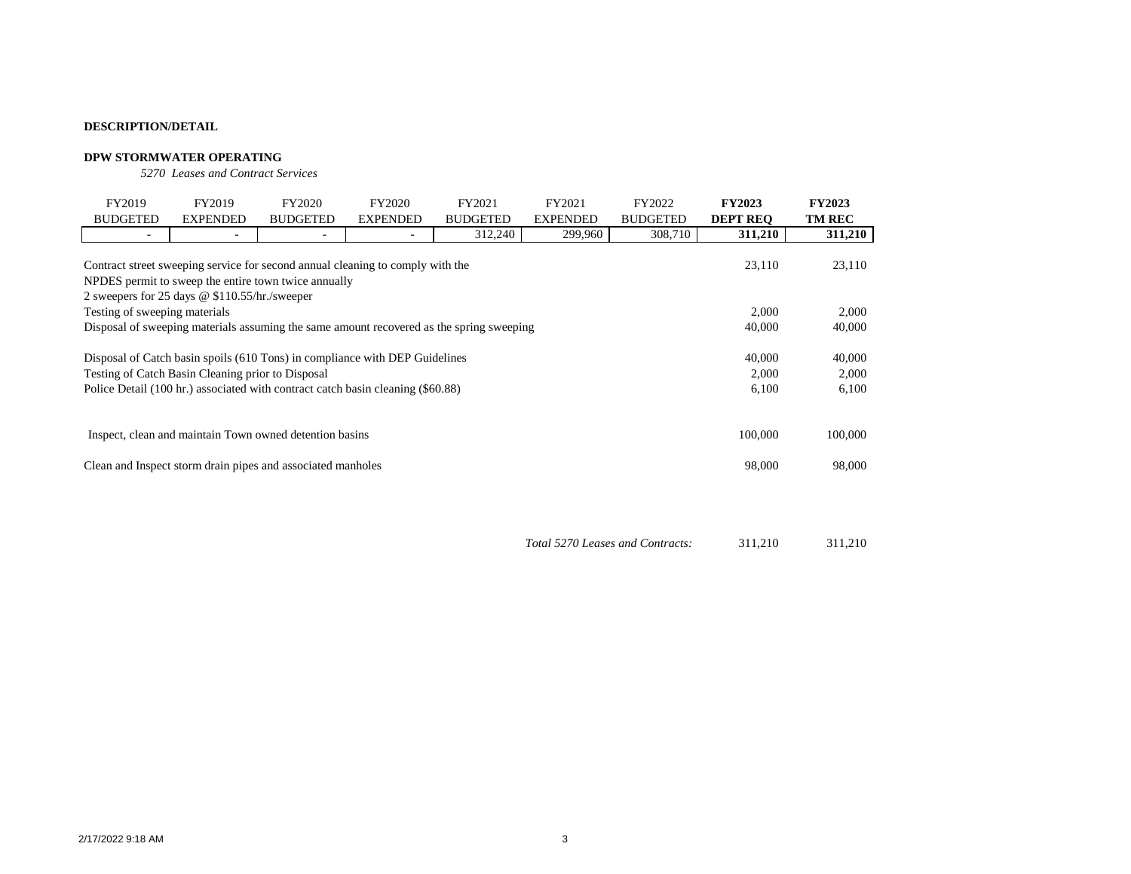#### **DPW STORMWATER OPERATING**

*5270 Leases and Contract Services*

| FY2019                                                                                             | FY2019                                                                                                                                 | FY2020                   | FY2020                   | FY2021          | FY2021          | FY2022          | <b>FY2023</b>   | <b>FY2023</b>   |  |  |  |
|----------------------------------------------------------------------------------------------------|----------------------------------------------------------------------------------------------------------------------------------------|--------------------------|--------------------------|-----------------|-----------------|-----------------|-----------------|-----------------|--|--|--|
| <b>BUDGETED</b>                                                                                    | <b>EXPENDED</b>                                                                                                                        | <b>BUDGETED</b>          | <b>EXPENDED</b>          | <b>BUDGETED</b> | <b>EXPENDED</b> | <b>BUDGETED</b> | <b>DEPT REO</b> | <b>TM REC</b>   |  |  |  |
| $\overline{\phantom{0}}$                                                                           | ٠                                                                                                                                      | $\overline{\phantom{0}}$ | $\overline{\phantom{0}}$ | 312,240         | 299,960         | 308,710         | 311,210         | 311,210         |  |  |  |
|                                                                                                    | Contract street sweeping service for second annual cleaning to comply with the<br>NPDES permit to sweep the entire town twice annually |                          |                          |                 |                 |                 | 23,110          | 23,110          |  |  |  |
| 2 sweepers for 25 days @ \$110.55/hr./sweeper                                                      |                                                                                                                                        |                          |                          |                 |                 |                 |                 |                 |  |  |  |
| 2,000<br>Testing of sweeping materials                                                             |                                                                                                                                        |                          |                          |                 |                 |                 |                 |                 |  |  |  |
| Disposal of sweeping materials assuming the same amount recovered as the spring sweeping<br>40,000 |                                                                                                                                        |                          |                          |                 |                 |                 |                 |                 |  |  |  |
|                                                                                                    | Disposal of Catch basin spoils (610 Tons) in compliance with DEP Guidelines<br>Testing of Catch Basin Cleaning prior to Disposal       |                          |                          |                 |                 |                 | 40,000<br>2,000 | 40,000<br>2,000 |  |  |  |
|                                                                                                    | Police Detail (100 hr.) associated with contract catch basin cleaning (\$60.88)                                                        |                          |                          |                 |                 |                 | 6,100           | 6,100           |  |  |  |
| 100,000<br>Inspect, clean and maintain Town owned detention basins                                 |                                                                                                                                        |                          |                          |                 |                 |                 |                 |                 |  |  |  |
|                                                                                                    | Clean and Inspect storm drain pipes and associated manholes                                                                            |                          |                          |                 |                 |                 | 98,000          | 98,000          |  |  |  |

*Total 5270 Leases and Contracts:* 311,210 311,210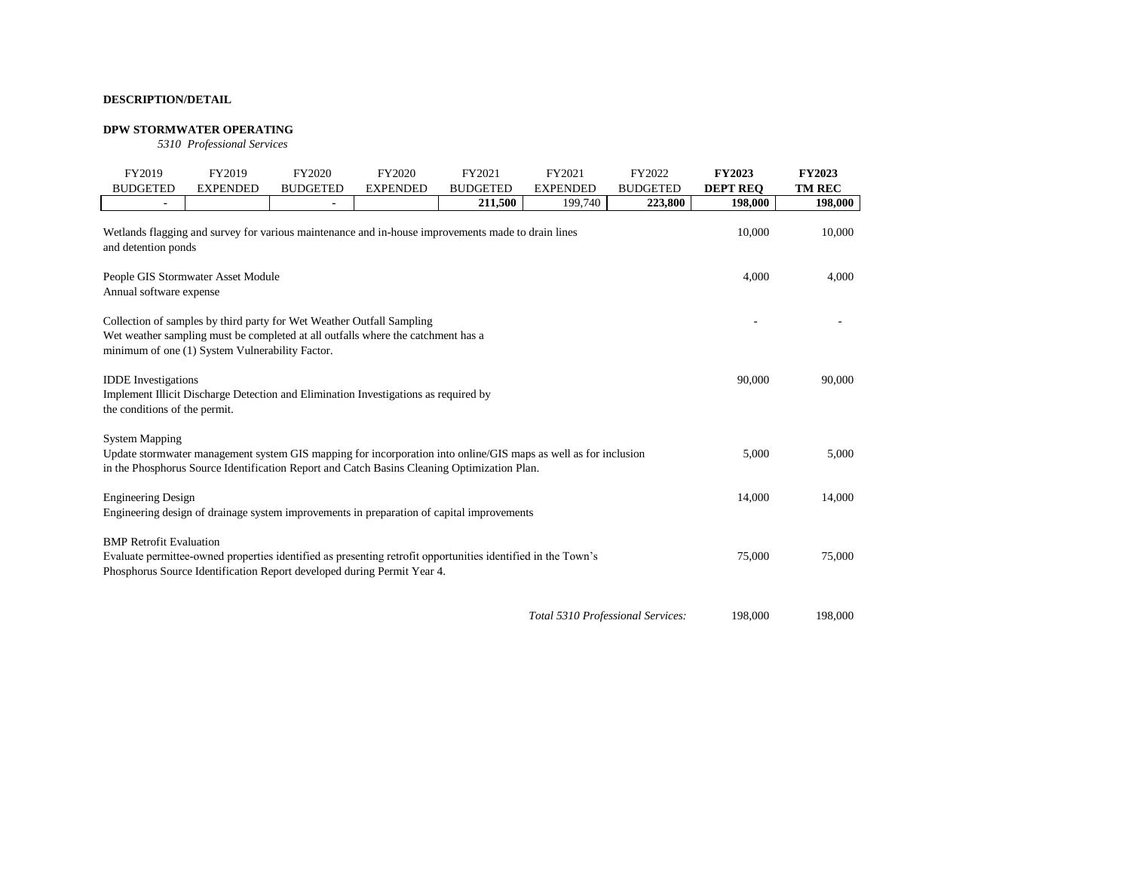#### **DPW STORMWATER OPERATING**

*5310 Professional Services*

| FY2019                                                      | FY2019                                          | FY2020                                                                                                                                                    | FY2020          | FY2021                                                                                                                                                                                                         | FY2021                            | FY2022          | <b>FY2023</b>   | <b>FY2023</b> |
|-------------------------------------------------------------|-------------------------------------------------|-----------------------------------------------------------------------------------------------------------------------------------------------------------|-----------------|----------------------------------------------------------------------------------------------------------------------------------------------------------------------------------------------------------------|-----------------------------------|-----------------|-----------------|---------------|
| <b>BUDGETED</b>                                             | <b>EXPENDED</b>                                 | <b>BUDGETED</b>                                                                                                                                           | <b>EXPENDED</b> | <b>BUDGETED</b>                                                                                                                                                                                                | <b>EXPENDED</b>                   | <b>BUDGETED</b> | <b>DEPT REO</b> | <b>TM REC</b> |
|                                                             |                                                 |                                                                                                                                                           |                 | 211,500                                                                                                                                                                                                        | 199,740                           | 223,800         | 198,000         | 198,000       |
| and detention ponds                                         |                                                 |                                                                                                                                                           |                 | Wetlands flagging and survey for various maintenance and in-house improvements made to drain lines                                                                                                             |                                   |                 | 10,000          | 10,000        |
| Annual software expense                                     | People GIS Stormwater Asset Module              |                                                                                                                                                           |                 |                                                                                                                                                                                                                |                                   |                 | 4,000           | 4,000         |
|                                                             | minimum of one (1) System Vulnerability Factor. | Collection of samples by third party for Wet Weather Outfall Sampling<br>Wet weather sampling must be completed at all outfalls where the catchment has a |                 |                                                                                                                                                                                                                |                                   |                 |                 |               |
| <b>IDDE</b> Investigations<br>the conditions of the permit. |                                                 | Implement Illicit Discharge Detection and Elimination Investigations as required by                                                                       |                 |                                                                                                                                                                                                                |                                   |                 | 90,000          | 90,000        |
| <b>System Mapping</b>                                       |                                                 |                                                                                                                                                           |                 | Update stormwater management system GIS mapping for incorporation into online/GIS maps as well as for inclusion<br>in the Phosphorus Source Identification Report and Catch Basins Cleaning Optimization Plan. |                                   |                 | 5,000           | 5,000         |
| <b>Engineering Design</b>                                   |                                                 |                                                                                                                                                           |                 | Engineering design of drainage system improvements in preparation of capital improvements                                                                                                                      |                                   |                 | 14,000          | 14,000        |
| <b>BMP</b> Retrofit Evaluation                              |                                                 | Phosphorus Source Identification Report developed during Permit Year 4.                                                                                   |                 | Evaluate permittee-owned properties identified as presenting retrofit opportunities identified in the Town's                                                                                                   |                                   |                 | 75,000          | 75,000        |
|                                                             |                                                 |                                                                                                                                                           |                 |                                                                                                                                                                                                                | Total 5310 Professional Services: |                 | 198,000         | 198,000       |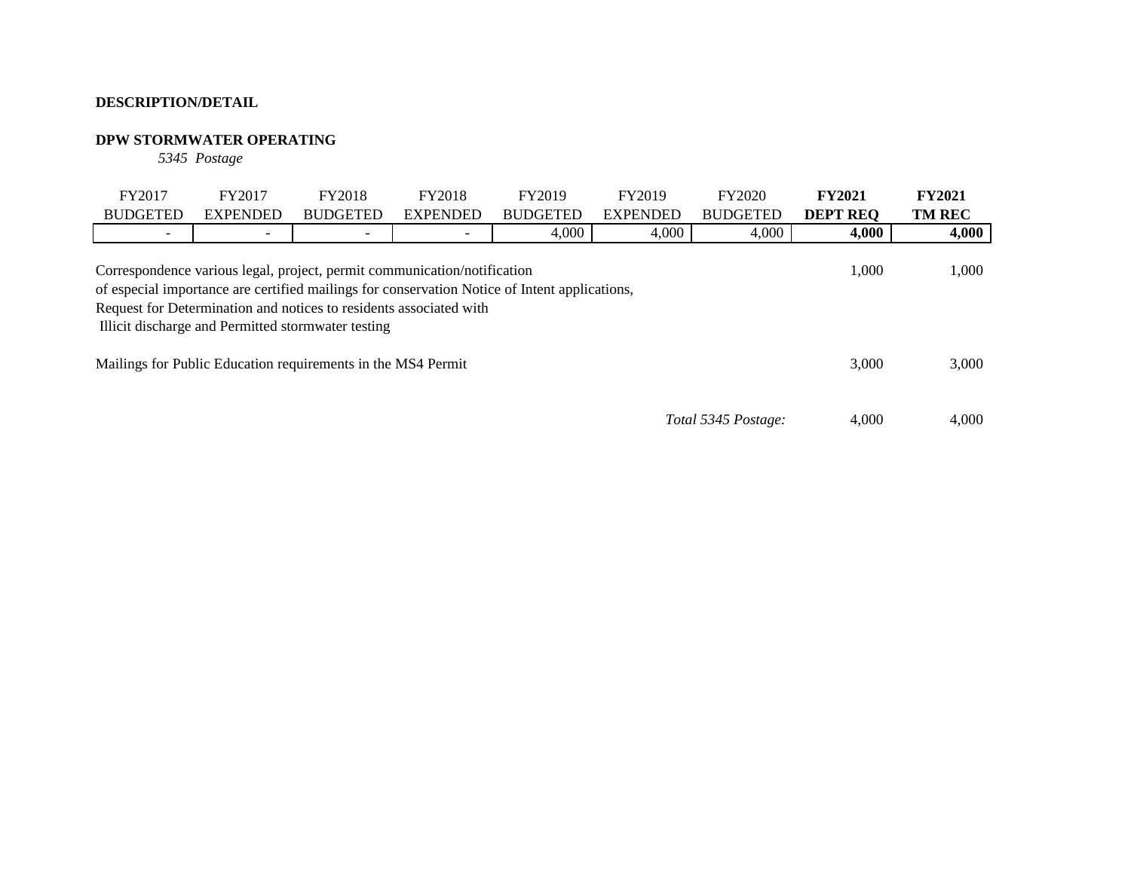# **DPW STORMWATER OPERATING**

*5345 Postage*

| FY2017<br><b>BUDGETED</b> | FY2017<br><b>EXPENDED</b>                                                                                                                                                                                                                                                                                                                                                               | <b>FY2018</b><br><b>BUDGETED</b> | <b>FY2018</b><br><b>EXPENDED</b> | FY2019<br><b>BUDGETED</b> | FY2019<br><b>EXPENDED</b> | <b>FY2020</b><br><b>BUDGETED</b> | <b>FY2021</b><br><b>DEPT REO</b> | <b>FY2021</b><br><b>TM REC</b> |
|---------------------------|-----------------------------------------------------------------------------------------------------------------------------------------------------------------------------------------------------------------------------------------------------------------------------------------------------------------------------------------------------------------------------------------|----------------------------------|----------------------------------|---------------------------|---------------------------|----------------------------------|----------------------------------|--------------------------------|
| $\overline{\phantom{0}}$  |                                                                                                                                                                                                                                                                                                                                                                                         |                                  |                                  | 4,000                     | 4,000                     | 4,000                            | 4,000                            | 4,000                          |
|                           | 1,000<br>Correspondence various legal, project, permit communication/notification<br>of especial importance are certified mailings for conservation Notice of Intent applications,<br>Request for Determination and notices to residents associated with<br>Illicit discharge and Permitted stormwater testing<br>Mailings for Public Education requirements in the MS4 Permit<br>3,000 |                                  |                                  |                           | 1,000                     |                                  |                                  |                                |
|                           |                                                                                                                                                                                                                                                                                                                                                                                         |                                  |                                  |                           |                           |                                  |                                  | 3,000                          |
|                           |                                                                                                                                                                                                                                                                                                                                                                                         |                                  |                                  |                           |                           | Total 5345 Postage:              | 4.000                            | 4.000                          |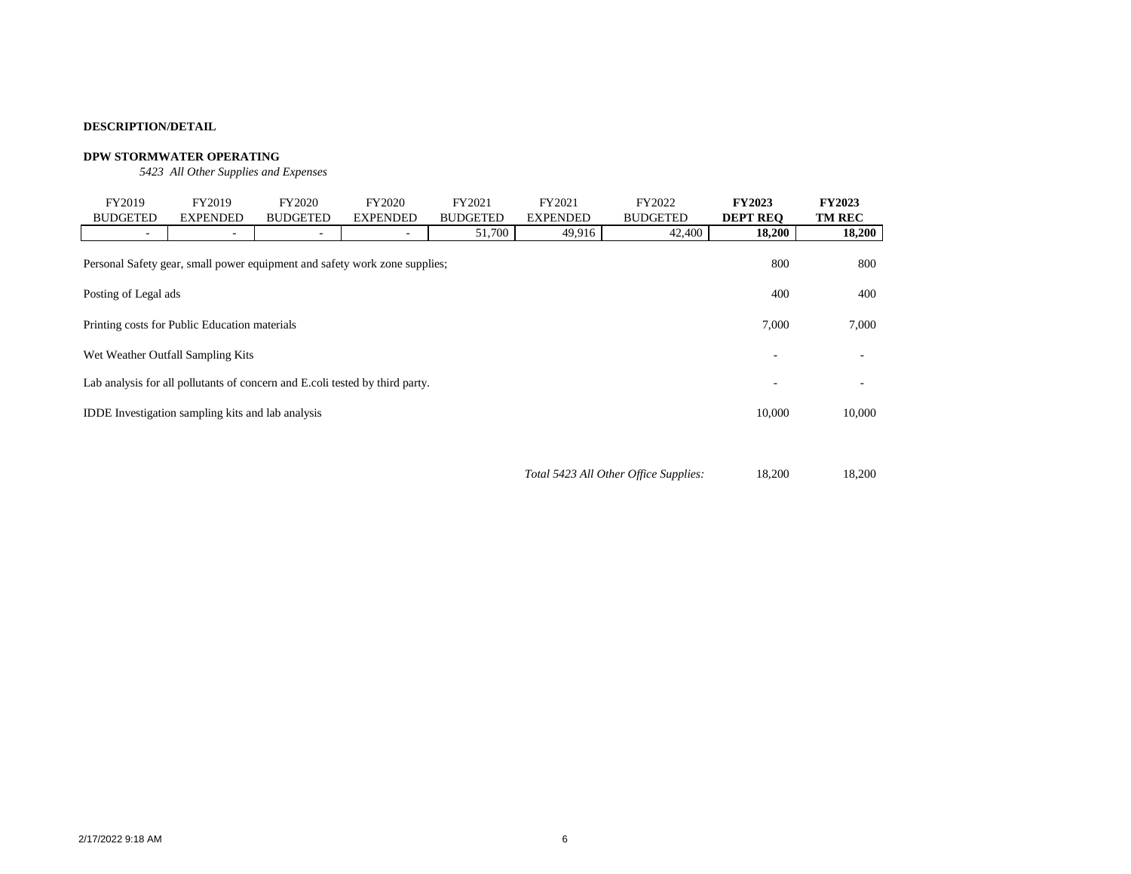## **DPW STORMWATER OPERATING**

*5423 All Other Supplies and Expenses*

| FY2019                                                                                                                                                                                                                                                                                                                           | FY2019          | FY2020                   | FY2020          | FY2021          | FY2021          | FY2022          | <b>FY2023</b>   | <b>FY2023</b> |  |
|----------------------------------------------------------------------------------------------------------------------------------------------------------------------------------------------------------------------------------------------------------------------------------------------------------------------------------|-----------------|--------------------------|-----------------|-----------------|-----------------|-----------------|-----------------|---------------|--|
| <b>BUDGETED</b>                                                                                                                                                                                                                                                                                                                  | <b>EXPENDED</b> | <b>BUDGETED</b>          | <b>EXPENDED</b> | <b>BUDGETED</b> | <b>EXPENDED</b> | <b>BUDGETED</b> | <b>DEPT REO</b> | <b>TM REC</b> |  |
| $\overline{\phantom{a}}$                                                                                                                                                                                                                                                                                                         | $\overline{a}$  | $\overline{\phantom{a}}$ | -               | 51,700          | 49,916          | 42,400          | 18,200          | 18,200        |  |
| 800<br>Personal Safety gear, small power equipment and safety work zone supplies;<br>Posting of Legal ads<br>400<br>Printing costs for Public Education materials<br>7,000<br>Wet Weather Outfall Sampling Kits<br>۰<br>Lab analysis for all pollutants of concern and E.coli tested by third party.<br>$\overline{\phantom{0}}$ |                 |                          |                 |                 |                 |                 |                 |               |  |
|                                                                                                                                                                                                                                                                                                                                  |                 |                          |                 |                 |                 |                 |                 | 400           |  |
|                                                                                                                                                                                                                                                                                                                                  |                 |                          |                 |                 |                 |                 |                 |               |  |
|                                                                                                                                                                                                                                                                                                                                  |                 |                          |                 |                 |                 |                 |                 |               |  |
|                                                                                                                                                                                                                                                                                                                                  |                 |                          |                 |                 |                 |                 |                 |               |  |
| 10,000<br><b>IDDE</b> Investigation sampling kits and lab analysis                                                                                                                                                                                                                                                               |                 |                          |                 |                 |                 |                 |                 |               |  |
|                                                                                                                                                                                                                                                                                                                                  |                 |                          |                 |                 |                 |                 |                 |               |  |

*Total 5423 All Other Office Supplies:* 18,200 18,200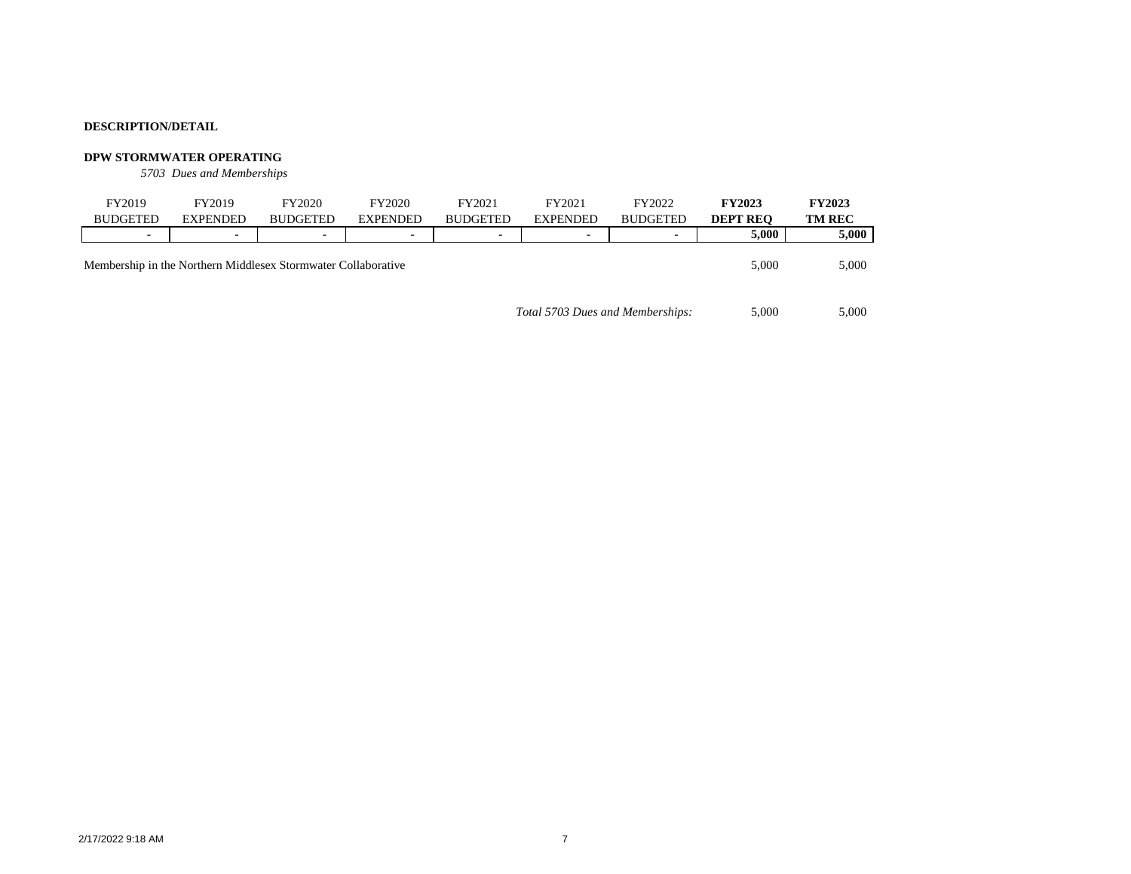#### **DPW STORMWATER OPERATING**

*5703 Dues and Memberships*

| FY2019<br><b>BUDGETED</b> | FY2019<br><b>EXPENDED</b> | FY2020<br><b>BUDGETED</b>                                     | FY2020<br><b>EXPENDED</b> | FY2021<br><b>BUDGETED</b> | FY2021<br><b>EXPENDED</b>        | FY2022<br><b>BUDGETED</b> | <b>FY2023</b><br><b>DEPT REO</b> | <b>FY2023</b><br><b>TM REC</b> |
|---------------------------|---------------------------|---------------------------------------------------------------|---------------------------|---------------------------|----------------------------------|---------------------------|----------------------------------|--------------------------------|
| -                         |                           | -                                                             | -                         | ۰                         | -                                | -                         | 5.000                            | 5,000                          |
|                           |                           | Membership in the Northern Middlesex Stormwater Collaborative |                           |                           |                                  |                           | 5,000                            | 5,000                          |
|                           |                           |                                                               |                           |                           | Total 5703 Dues and Memberships: |                           | 5.000                            | 5.000                          |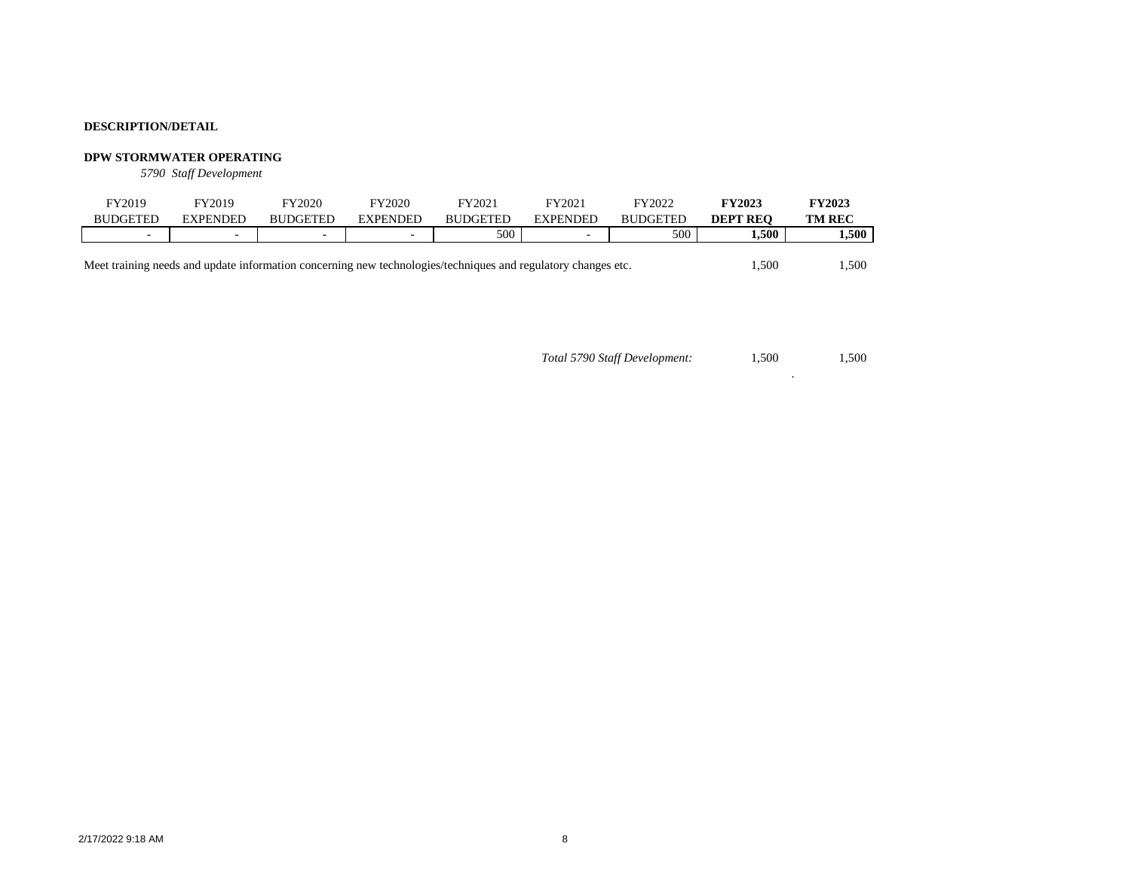#### **DPW STORMWATER OPERATING**

*5790 Staff Development*

| FY2019                   | FY2019          | FY2020          | FY2020                   | FY2021          | $\rm v_{Y2021}$ | FY2022          | <b>FY2023</b>      | <b>FY2023</b> |
|--------------------------|-----------------|-----------------|--------------------------|-----------------|-----------------|-----------------|--------------------|---------------|
| <b>BUDGETED</b>          | <b>EXPENDED</b> | <b>BUDGETED</b> | EXPENDED                 | <b>BUDGETED</b> | EXPENDED        | <b>BUDGETED</b> | <b>REO</b><br>DEPT | <b>TM REC</b> |
| $\overline{\phantom{a}}$ | -               | -               | $\overline{\phantom{a}}$ | 500             |                 | 500             | 1,500              | 1.500         |
|                          |                 |                 |                          |                 |                 |                 |                    |               |

Meet training needs and update information concerning new technologies/techniques and regulatory changes etc. 1,500 1,500 1,500

 1,500 1,500 *Total 5790 Staff Development:*

.